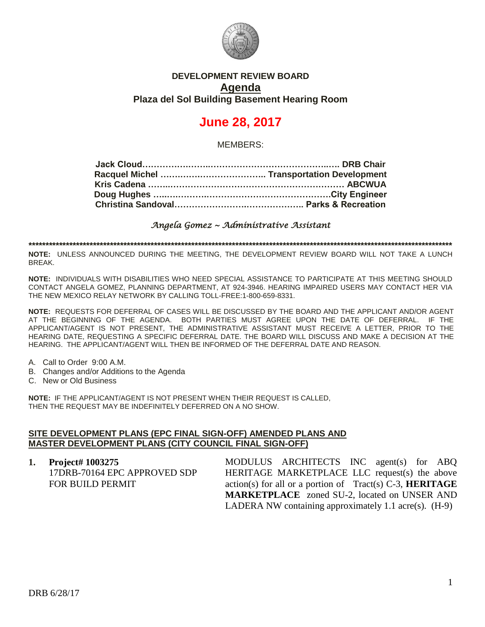

# **DEVELOPMENT REVIEW BOARD Agenda Plaza del Sol Building Basement Hearing Room**

# **June 28, 2017**

MEMBERS:

*Angela Gomez ~ Administrative Assistant* 

**\*\*\*\*\*\*\*\*\*\*\*\*\*\*\*\*\*\*\*\*\*\*\*\*\*\*\*\*\*\*\*\*\*\*\*\*\*\*\*\*\*\*\*\*\*\*\*\*\*\*\*\*\*\*\*\*\*\*\*\*\*\*\*\*\*\*\*\*\*\*\*\*\*\*\*\*\*\*\*\*\*\*\*\*\*\*\*\*\*\*\*\*\*\*\*\*\*\*\*\*\*\*\*\*\*\*\*\*\*\*\*\*\*\*\*\*\*\*\*\*\*\*\*\*\***

**NOTE:** UNLESS ANNOUNCED DURING THE MEETING, THE DEVELOPMENT REVIEW BOARD WILL NOT TAKE A LUNCH BREAK.

**NOTE:** INDIVIDUALS WITH DISABILITIES WHO NEED SPECIAL ASSISTANCE TO PARTICIPATE AT THIS MEETING SHOULD CONTACT ANGELA GOMEZ, PLANNING DEPARTMENT, AT 924-3946. HEARING IMPAIRED USERS MAY CONTACT HER VIA THE NEW MEXICO RELAY NETWORK BY CALLING TOLL-FREE:1-800-659-8331.

**NOTE:** REQUESTS FOR DEFERRAL OF CASES WILL BE DISCUSSED BY THE BOARD AND THE APPLICANT AND/OR AGENT AT THE BEGINNING OF THE AGENDA. BOTH PARTIES MUST AGREE UPON THE DATE OF DEFERRAL. IF THE APPLICANT/AGENT IS NOT PRESENT, THE ADMINISTRATIVE ASSISTANT MUST RECEIVE A LETTER, PRIOR TO THE HEARING DATE, REQUESTING A SPECIFIC DEFERRAL DATE. THE BOARD WILL DISCUSS AND MAKE A DECISION AT THE HEARING. THE APPLICANT/AGENT WILL THEN BE INFORMED OF THE DEFERRAL DATE AND REASON.

- A. Call to Order 9:00 A.M.
- B. Changes and/or Additions to the Agenda
- C. New or Old Business

**NOTE:** IF THE APPLICANT/AGENT IS NOT PRESENT WHEN THEIR REQUEST IS CALLED, THEN THE REQUEST MAY BE INDEFINITELY DEFERRED ON A NO SHOW.

#### **SITE DEVELOPMENT PLANS (EPC FINAL SIGN-OFF) AMENDED PLANS AND MASTER DEVELOPMENT PLANS (CITY COUNCIL FINAL SIGN-OFF)**

**1. Project# 1003275** 17DRB-70164 EPC APPROVED SDP FOR BUILD PERMIT MODULUS ARCHITECTS INC agent(s) for ABQ HERITAGE MARKETPLACE LLC request(s) the above action(s) for all or a portion of Tract(s) C-3, **HERITAGE MARKETPLACE** zoned SU-2, located on UNSER AND LADERA NW containing approximately 1.1 acre(s). (H-9)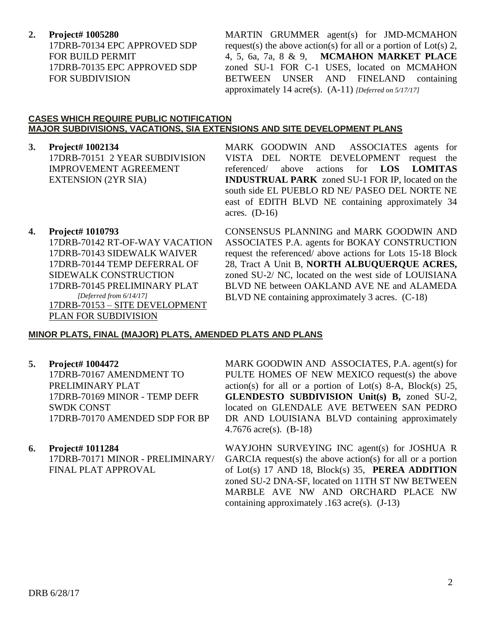**2. Project# 1005280**

17DRB-70134 EPC APPROVED SDP FOR BUILD PERMIT 17DRB-70135 EPC APPROVED SDP FOR SUBDIVISION

MARTIN GRUMMER agent(s) for JMD-MCMAHON request(s) the above action(s) for all or a portion of Lot(s) 2, 4, 5, 6a, 7a, 8 & 9, **MCMAHON MARKET PLACE** zoned SU-1 FOR C-1 USES, located on MCMAHON BETWEEN UNSER AND FINELAND containing approximately 14 acre(s). (A-11) *[Deferred on 5/17/17]*

#### **CASES WHICH REQUIRE PUBLIC NOTIFICATION MAJOR SUBDIVISIONS, VACATIONS, SIA EXTENSIONS AND SITE DEVELOPMENT PLANS**

**3. Project# 1002134** 17DRB-70151 2 YEAR SUBDIVISION IMPROVEMENT AGREEMENT EXTENSION (2YR SIA)

MARK GOODWIN AND ASSOCIATES agents for VISTA DEL NORTE DEVELOPMENT request the referenced/ above actions for **LOS LOMITAS INDUSTRUAL PARK** zoned SU-1 FOR IP, located on the south side EL PUEBLO RD NE/ PASEO DEL NORTE NE east of EDITH BLVD NE containing approximately 34 acres.  $(D-16)$ 

## **4. Project# 1010793**

17DRB-70142 RT-OF-WAY VACATION 17DRB-70143 SIDEWALK WAIVER 17DRB-70144 TEMP DEFERRAL OF SIDEWALK CONSTRUCTION 17DRB-70145 PRELIMINARY PLAT  *[Deferred from 6/14/17]* 17DRB-70153 – SITE DEVELOPMENT PLAN FOR SUBDIVISION

CONSENSUS PLANNING and MARK GOODWIN AND ASSOCIATES P.A. agents for BOKAY CONSTRUCTION request the referenced/ above actions for Lots 15-18 Block 28, Tract A Unit B, **NORTH ALBUQUERQUE ACRES,** zoned SU-2/ NC, located on the west side of LOUISIANA BLVD NE between OAKLAND AVE NE and ALAMEDA BLVD NE containing approximately 3 acres. (C-18)

## **MINOR PLATS, FINAL (MAJOR) PLATS, AMENDED PLATS AND PLANS**

**5. Project# 1004472** 17DRB-70167 AMENDMENT TO PRELIMINARY PLAT 17DRB-70169 MINOR - TEMP DEFR SWDK CONST 17DRB-70170 AMENDED SDP FOR BP

# **6. Project# 1011284** 17DRB-70171 MINOR - PRELIMINARY/ FINAL PLAT APPROVAL

MARK GOODWIN AND ASSOCIATES, P.A. agent(s) for PULTE HOMES OF NEW MEXICO request(s) the above action(s) for all or a portion of Lot(s) 8-A, Block(s) 25, **GLENDESTO SUBDIVISION Unit(s) B,** zoned SU-2, located on GLENDALE AVE BETWEEN SAN PEDRO DR AND LOUISIANA BLVD containing approximately 4.7676 acre(s). (B-18)

WAYJOHN SURVEYING INC agent(s) for JOSHUA R GARCIA request(s) the above action(s) for all or a portion of Lot(s) 17 AND 18, Block(s) 35, **PEREA ADDITION** zoned SU-2 DNA-SF, located on 11TH ST NW BETWEEN MARBLE AVE NW AND ORCHARD PLACE NW containing approximately .163 acre(s). (J-13)